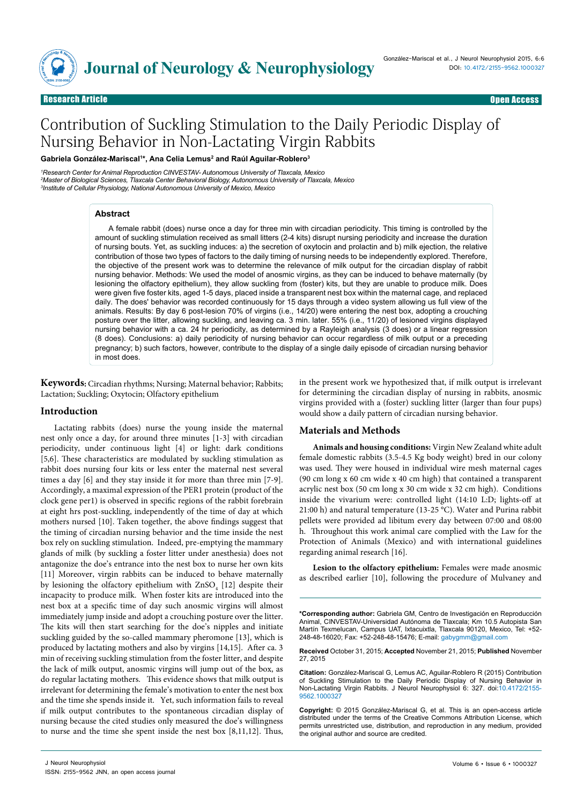

Research Article Open Access Research Article Open Access

# Contribution of Suckling Stimulation to the Daily Periodic Display of Nursing Behavior in Non-Lactating Virgin Rabbits

**Gabriela González-Mariscal1 \*, Ana Celia Lemus2 and Raúl Aguilar-Roblero3**

*1 Research Center for Animal Reproduction CINVESTAV- Autonomous University of Tlaxcala, Mexico 2 Master of Biological Sciences, Tlaxcala Center Behavioral Biology, Autonomous University of Tlaxcala, Mexico 3 Institute of Cellular Physiology, National Autonomous University of Mexico, Mexico*

#### **Abstract**

A female rabbit (does) nurse once a day for three min with circadian periodicity. This timing is controlled by the amount of suckling stimulation received as small litters (2-4 kits) disrupt nursing periodicity and increase the duration of nursing bouts. Yet, as suckling induces: a) the secretion of oxytocin and prolactin and b) milk ejection, the relative contribution of those two types of factors to the daily timing of nursing needs to be independently explored. Therefore, the objective of the present work was to determine the relevance of milk output for the circadian display of rabbit nursing behavior. Methods: We used the model of anosmic virgins, as they can be induced to behave maternally (by lesioning the olfactory epithelium), they allow suckling from (foster) kits, but they are unable to produce milk. Does were given five foster kits, aged 1-5 days, placed inside a transparent nest box within the maternal cage, and replaced daily. The does' behavior was recorded continuously for 15 days through a video system allowing us full view of the animals. Results: By day 6 post-lesion 70% of virgins (i.e., 14/20) were entering the nest box, adopting a crouching posture over the litter, allowing suckling, and leaving ca. 3 min. later. 55% (i.e., 11/20) of lesioned virgins displayed nursing behavior with a ca. 24 hr periodicity, as determined by a Rayleigh analysis (3 does) or a linear regression (8 does). Conclusions: a) daily periodicity of nursing behavior can occur regardless of milk output or a preceding pregnancy; b) such factors, however, contribute to the display of a single daily episode of circadian nursing behavior in most does.

**Keywords:** Circadian rhythms; Nursing; Maternal behavior; Rabbits; Lactation; Suckling; Oxytocin; Olfactory epithelium

## **Introduction**

Lactating rabbits (does) nurse the young inside the maternal nest only once a day, for around three minutes [1-3] with circadian periodicity, under continuous light [4] or light: dark conditions [5,6]. These characteristics are modulated by suckling stimulation as rabbit does nursing four kits or less enter the maternal nest several times a day [6] and they stay inside it for more than three min [7-9]. Accordingly, a maximal expression of the PER1 protein (product of the clock gene per1) is observed in specific regions of the rabbit forebrain at eight hrs post-suckling, independently of the time of day at which mothers nursed [10]. Taken together, the above findings suggest that the timing of circadian nursing behavior and the time inside the nest box rely on suckling stimulation. Indeed, pre-emptying the mammary glands of milk (by suckling a foster litter under anesthesia) does not antagonize the doe's entrance into the nest box to nurse her own kits [11] Moreover, virgin rabbits can be induced to behave maternally by lesioning the olfactory epithelium with  $\mathrm{ZnSO}_{4}$  [12] despite their incapacity to produce milk. When foster kits are introduced into the nest box at a specific time of day such anosmic virgins will almost immediately jump inside and adopt a crouching posture over the litter. The kits will then start searching for the doe's nipples and initiate suckling guided by the so-called mammary pheromone [13], which is produced by lactating mothers and also by virgins [14,15]. After ca. 3 min of receiving suckling stimulation from the foster litter, and despite the lack of milk output, anosmic virgins will jump out of the box, as do regular lactating mothers. This evidence shows that milk output is irrelevant for determining the female's motivation to enter the nest box and the time she spends inside it. Yet, such information fails to reveal if milk output contributes to the spontaneous circadian display of nursing because the cited studies only measured the doe's willingness to nurse and the time she spent inside the nest box [8,11,12]. Thus,

in the present work we hypothesized that, if milk output is irrelevant for determining the circadian display of nursing in rabbits, anosmic virgins provided with a (foster) suckling litter (larger than four pups) would show a daily pattern of circadian nursing behavior.

# **Materials and Methods**

**Animals and housing conditions:** Virgin New Zealand white adult female domestic rabbits (3.5-4.5 Kg body weight) bred in our colony was used. They were housed in individual wire mesh maternal cages (90 cm long x 60 cm wide x 40 cm high) that contained a transparent acrylic nest box (50 cm long x 30 cm wide x 32 cm high). Conditions inside the vivarium were: controlled light (14:10 L:D; lights-off at 21:00 h) and natural temperature (13-25 °C). Water and Purina rabbit pellets were provided ad libitum every day between 07:00 and 08:00 h. Throughout this work animal care complied with the Law for the Protection of Animals (Mexico) and with international guidelines regarding animal research [16].

**Lesion to the olfactory epithelium:** Females were made anosmic described earlier [10], following the procedure of Mulvaney and

**\*Corresponding author:** Gabriela GM, Centro de Investigación en Reproducción Animal, CINVESTAV-Universidad Autónoma de Tlaxcala; Km 10.5 Autopista San Martín Texmelucan, Campus UAT, Ixtacuixtla, Tlaxcala 90120, Mexico, Tel: +52- 248-48-16020; Fax: +52-248-48-15476; E-mail: gabygmm@gmail.com

**Received** October 31, 2015; **Accepted** November 21, 2015; **Published** November 27, 2015

**Citation:** González-Mariscal G, Lemus AC, Aguilar-Roblero R (2015) Contribution of Suckling Stimulation to the Daily Periodic Display of Nursing Behavior in Non-Lactating Virgin Rabbits. J Neurol Neurophysiol 6: 327. doi:10.4172/2155- 9562.1000327

**Copyright:** © 2015 González-Mariscal G, et al. This is an open-access article distributed under the terms of the Creative Commons Attribution License, which permits unrestricted use, distribution, and reproduction in any medium, provided the original author and source are credited.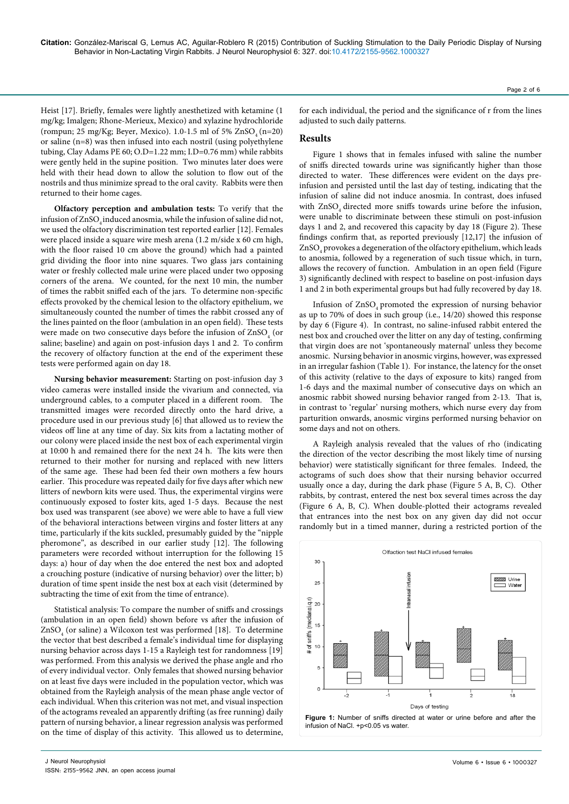**Citation:** González-Mariscal G, Lemus AC, Aguilar-Roblero R (2015) Contribution of Suckling Stimulation to the Daily Periodic Display of Nursing Behavior in Non-Lactating Virgin Rabbits. J Neurol Neurophysiol 6: 327. doi:10.4172/2155-9562.1000327

Heist [17]. Briefly, females were lightly anesthetized with ketamine (1 mg/kg; Imalgen; Rhone-Merieux, Mexico) and xylazine hydrochloride (rompun;  $25 \text{ mg/Kg}$ ; Beyer, Mexico).  $1.0-1.5 \text{ ml of } 5\%$  ZnSO (n=20) or saline (n=8) was then infused into each nostril (using polyethylene tubing, Clay Adams PE 60; O.D=1.22 mm; I.D=0.76 mm) while rabbits were gently held in the supine position. Two minutes later does were held with their head down to allow the solution to flow out of the nostrils and thus minimize spread to the oral cavity. Rabbits were then returned to their home cages.

**Olfactory perception and ambulation tests:** To verify that the infusion of ZnSO<sub>4</sub> induced anosmia, while the infusion of saline did not, we used the olfactory discrimination test reported earlier [12]. Females were placed inside a square wire mesh arena (1.2 m/side x 60 cm high, with the floor raised 10 cm above the ground) which had a painted grid dividing the floor into nine squares. Two glass jars containing water or freshly collected male urine were placed under two opposing corners of the arena. We counted, for the next 10 min, the number of times the rabbit sniffed each of the jars. To determine non-specific effects provoked by the chemical lesion to the olfactory epithelium, we simultaneously counted the number of times the rabbit crossed any of the lines painted on the floor (ambulation in an open field). These tests were made on two consecutive days before the infusion of  $\mathrm{ZnSO}_{4}$  (or saline; baseline) and again on post-infusion days 1 and 2. To confirm the recovery of olfactory function at the end of the experiment these tests were performed again on day 18.

**Nursing behavior measurement:** Starting on post-infusion day 3 video cameras were installed inside the vivarium and connected, via underground cables, to a computer placed in a different room. The transmitted images were recorded directly onto the hard drive, a procedure used in our previous study [6] that allowed us to review the videos off line at any time of day. Six kits from a lactating mother of our colony were placed inside the nest box of each experimental virgin at 10:00 h and remained there for the next 24 h. The kits were then returned to their mother for nursing and replaced with new litters of the same age. These had been fed their own mothers a few hours earlier. This procedure was repeated daily for five days after which new litters of newborn kits were used. Thus, the experimental virgins were continuously exposed to foster kits, aged 1-5 days. Because the nest box used was transparent (see above) we were able to have a full view of the behavioral interactions between virgins and foster litters at any time, particularly if the kits suckled, presumably guided by the "nipple pheromone", as described in our earlier study [12]. The following parameters were recorded without interruption for the following 15 days: a) hour of day when the doe entered the nest box and adopted a crouching posture (indicative of nursing behavior) over the litter; b) duration of time spent inside the nest box at each visit (determined by subtracting the time of exit from the time of entrance).

Statistical analysis: To compare the number of sniffs and crossings (ambulation in an open field) shown before vs after the infusion of  $ZnSO<sub>4</sub>$  (or saline) a Wilcoxon test was performed [18]. To determine the vector that best described a female's individual time for displaying nursing behavior across days 1-15 a Rayleigh test for randomness [19] was performed. From this analysis we derived the phase angle and rho of every individual vector. Only females that showed nursing behavior on at least five days were included in the population vector, which was obtained from the Rayleigh analysis of the mean phase angle vector of each individual. When this criterion was not met, and visual inspection of the actograms revealed an apparently drifting (as free running) daily pattern of nursing behavior, a linear regression analysis was performed on the time of display of this activity. This allowed us to determine,

for each individual, the period and the significance of r from the lines adjusted to such daily patterns.

#### **Results**

Figure 1 shows that in females infused with saline the number of sniffs directed towards urine was significantly higher than those directed to water. These differences were evident on the days preinfusion and persisted until the last day of testing, indicating that the infusion of saline did not induce anosmia. In contrast, does infused with ZnSO directed more sniffs towards urine before the infusion, were unable to discriminate between these stimuli on post-infusion days 1 and 2, and recovered this capacity by day 18 (Figure 2). These findings confirm that, as reported previously [12,17] the infusion of  $\mathrm{ZnSO}_{_4}$  provokes a degeneration of the olfactory epithelium, which leads to anosmia, followed by a regeneration of such tissue which, in turn, allows the recovery of function. Ambulation in an open field (Figure 3) significantly declined with respect to baseline on post-infusion days 1 and 2 in both experimental groups but had fully recovered by day 18.

Infusion of  $ZnSO<sub>4</sub>$  promoted the expression of nursing behavior as up to 70% of does in such group (i.e., 14/20) showed this response by day 6 (Figure 4). In contrast, no saline-infused rabbit entered the nest box and crouched over the litter on any day of testing, confirming that virgin does are not 'spontaneously maternal' unless they become anosmic. Nursing behavior in anosmic virgins, however, was expressed in an irregular fashion (Table 1). For instance, the latency for the onset of this activity (relative to the days of exposure to kits) ranged from 1-6 days and the maximal number of consecutive days on which an anosmic rabbit showed nursing behavior ranged from 2-13. That is, in contrast to 'regular' nursing mothers, which nurse every day from parturition onwards, anosmic virgins performed nursing behavior on some days and not on others.

A Rayleigh analysis revealed that the values of rho (indicating the direction of the vector describing the most likely time of nursing behavior) were statistically significant for three females. Indeed, the actograms of such does show that their nursing behavior occurred usually once a day, during the dark phase (Figure 5 A, B, C). Other rabbits, by contrast, entered the nest box several times across the day (Figure 6 A, B, C). When double-plotted their actograms revealed that entrances into the nest box on any given day did not occur randomly but in a timed manner, during a restricted portion of the



ISSN: 2155-9562 JNN, an open access journal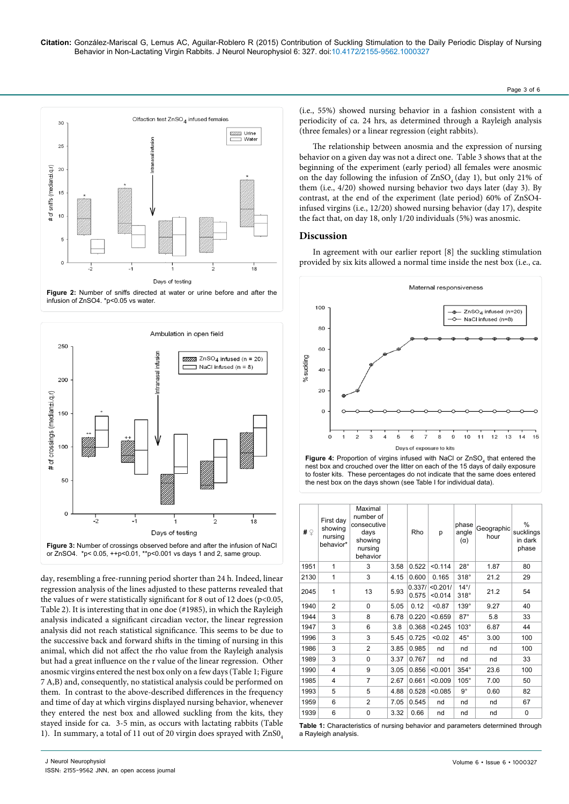





day, resembling a free-running period shorter than 24 h. Indeed, linear regression analysis of the lines adjusted to these patterns revealed that the values of r were statistically significant for 8 out of 12 does ( $p$ <0.05, Table 2). It is interesting that in one doe (#1985), in which the Rayleigh analysis indicated a significant circadian vector, the linear regression analysis did not reach statistical significance. This seems to be due to the successive back and forward shifts in the timing of nursing in this animal, which did not affect the rho value from the Rayleigh analysis but had a great influence on the r value of the linear regression. Other anosmic virgins entered the nest box only on a few days (Table 1; Figure 7 A,B) and, consequently, no statistical analysis could be performed on them. In contrast to the above-described differences in the frequency and time of day at which virgins displayed nursing behavior, whenever they entered the nest box and allowed suckling from the kits, they stayed inside for ca. 3-5 min, as occurs with lactating rabbits (Table 1). In summary, a total of 11 out of 20 virgin does sprayed with ZnS0.

(i.e., 55%) showed nursing behavior in a fashion consistent with a periodicity of ca. 24 hrs, as determined through a Rayleigh analysis (three females) or a linear regression (eight rabbits).

Page 3 of 6

The relationship between anosmia and the expression of nursing behavior on a given day was not a direct one. Table 3 shows that at the beginning of the experiment (early period) all females were anosmic on the day following the infusion of  $ZnSO<sub>4</sub>$  (day 1), but only 21% of them (i.e., 4/20) showed nursing behavior two days later (day 3). By contrast, at the end of the experiment (late period) 60% of ZnSO4 infused virgins (i.e., 12/20) showed nursing behavior (day 17), despite the fact that, on day 18, only 1/20 individuals (5%) was anosmic.

## **Discussion**

In agreement with our earlier report [8] the suckling stimulation provided by six kits allowed a normal time inside the nest box (i.e., ca.





| # $\circledcirc$ | First day<br>showing<br>nursing<br>behavior* | Maximal<br>number of<br>consecutive<br>days<br>showing<br>nursing<br>behavior |      | Rho             | p                   | phase<br>angle<br>$(\alpha)$ | Geographic<br>hour | $\%$<br>sucklings<br>in dark<br>phase |
|------------------|----------------------------------------------|-------------------------------------------------------------------------------|------|-----------------|---------------------|------------------------------|--------------------|---------------------------------------|
| 1951             | 1                                            | 3                                                                             | 3.58 | 0.522           | < 0.114             | $28^\circ$                   | 1.87               | 80                                    |
| 2130             | 1                                            | 3                                                                             | 4.15 | 0.600           | 0.165               | $318^\circ$                  | 21.2               | 29                                    |
| 2045             | 1                                            | 13                                                                            | 5.93 | 0.337/<br>0.575 | < 0.201/<br>< 0.014 | $14^{\circ}$<br>$318^\circ$  | 21.2               | 54                                    |
| 1940             | $\overline{2}$                               | 0                                                                             | 5.05 | 0.12            | < 0.87              | $139^\circ$                  | 9.27               | 40                                    |
| 1944             | 3                                            | 8                                                                             | 6.78 | 0.220           | < 0.659             | $87^\circ$                   | 5.8                | 33                                    |
| 1947             | 3                                            | 6                                                                             | 3.8  | 0.368           | < 0.245             | $103^\circ$                  | 6.87               | 44                                    |
| 1996             | 3                                            | 3                                                                             | 5.45 | 0.725           | < 0.02              | $45^{\circ}$                 | 3.00               | 100                                   |
| 1986             | 3                                            | $\overline{2}$                                                                | 3.85 | 0.985           | nd                  | nd                           | nd                 | 100                                   |
| 1989             | 3                                            | 0                                                                             | 3.37 | 0.767           | nd                  | nd                           | nd                 | 33                                    |
| 1990             | 4                                            | 9                                                                             | 3.05 | 0.856           | < 0.001             | $354^\circ$                  | 23.6               | 100                                   |
| 1985             | 4                                            | $\overline{7}$                                                                | 2.67 | 0.661           | < 0.009             | $105^\circ$                  | 7.00               | 50                                    |
| 1993             | 5                                            | 5                                                                             | 4.88 | 0.528           | < 0.085             | $9^{\circ}$                  | 0.60               | 82                                    |
| 1959             | 6                                            | $\overline{2}$                                                                | 7.05 | 0.545           | nd                  | nd                           | nd                 | 67                                    |
| 1939             | 6                                            | 0                                                                             | 3.32 | 0.66            | nd                  | nd                           | nd                 | 0                                     |

**Table 1:** Characteristics of nursing behavior and parameters determined through a Rayleigh analysis.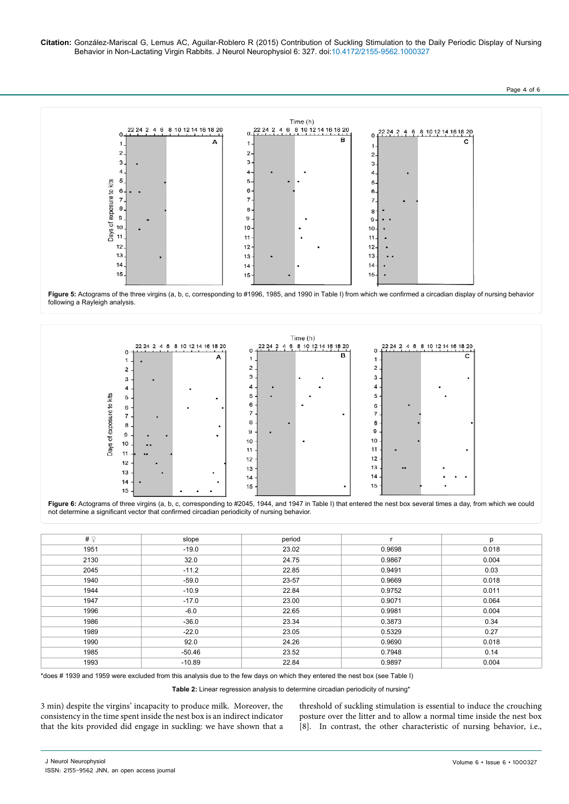**Citation:** González-Mariscal G, Lemus AC, Aguilar-Roblero R (2015) Contribution of Suckling Stimulation to the Daily Periodic Display of Nursing Behavior in Non-Lactating Virgin Rabbits. J Neurol Neurophysiol 6: 327. doi:10.4172/2155-9562.1000327

Page 4 of 6



**Figure 5:** Actograms of the three virgins (a, b, c, corresponding to #1996, 1985, and 1990 in Table I) from which we confirmed a circadian display of nursing behavior following a Rayleigh analysis.





| # $\circledcirc$ | slope    | period |        | р     |
|------------------|----------|--------|--------|-------|
|                  |          |        |        |       |
| 1951             | $-19.0$  | 23.02  | 0.9698 | 0.018 |
| 2130             | 32.0     | 24.75  | 0.9867 | 0.004 |
| 2045             | $-11.2$  | 22.85  | 0.9491 | 0.03  |
| 1940             | $-59.0$  | 23-57  | 0.9669 | 0.018 |
| 1944             | $-10.9$  | 22.84  | 0.9752 | 0.011 |
| 1947             | $-17.0$  | 23.00  | 0.9071 | 0.064 |
| 1996             | $-6.0$   | 22.65  | 0.9981 | 0.004 |
| 1986             | $-36.0$  | 23.34  | 0.3873 | 0.34  |
| 1989             | $-22.0$  | 23.05  | 0.5329 | 0.27  |
| 1990             | 92.0     | 24.26  | 0.9690 | 0.018 |
| 1985             | $-50.46$ | 23.52  | 0.7948 | 0.14  |
| 1993             | $-10.89$ | 22.84  | 0.9897 | 0.004 |

\*does # 1939 and 1959 were excluded from this analysis due to the few days on which they entered the nest box (see Table I)

**Table 2:** Linear regression analysis to determine circadian periodicity of nursing\*

3 min) despite the virgins' incapacity to produce milk. Moreover, the consistency in the time spent inside the nest box is an indirect indicator that the kits provided did engage in suckling: we have shown that a threshold of suckling stimulation is essential to induce the crouching posture over the litter and to allow a normal time inside the nest box [8]. In contrast, the other characteristic of nursing behavior, i.e.,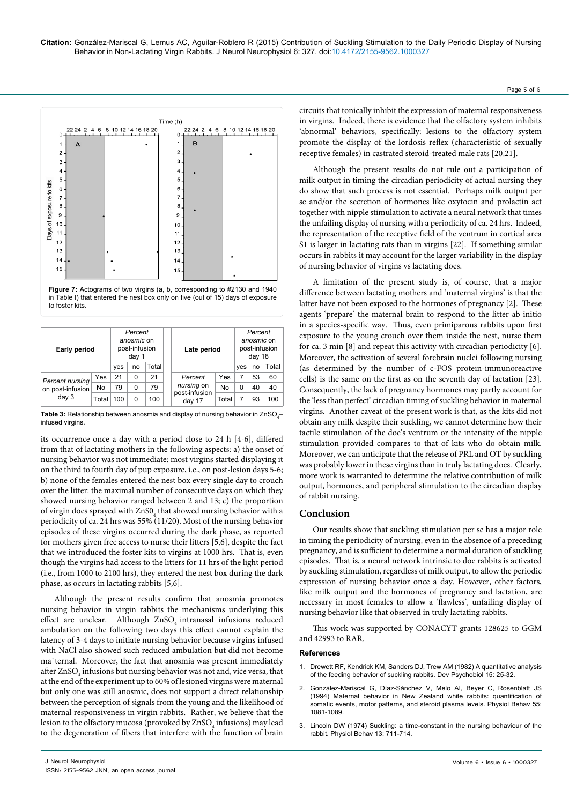

**Figure 7:** Actograms of two virgins (a, b, corresponding to #2130 and 1940 in Table I) that entered the nest box only on five (out of 15) days of exposure to foster kits.

| <b>Early period</b> | Percent<br>anosmic on<br>post-infusion<br>day 1 |     |       | Late period |                                  | Percent<br>anosmic on<br>post-infusion<br>day 18 |   |       |     |
|---------------------|-------------------------------------------------|-----|-------|-------------|----------------------------------|--------------------------------------------------|---|-------|-----|
|                     | yes                                             | no  | Total |             |                                  |                                                  |   | Total |     |
| Percent nursing     | Yes                                             | 21  | 0     | 21          | Yes<br>Percent                   |                                                  | 7 | 53    | 60  |
| on post-infusion    | No                                              | 79  | 0     | 79          | nursing on<br>No                 |                                                  | 0 | 40    | 40  |
| day 3               | Total                                           | 100 | O     | 100         | post-infusion<br>Total<br>day 17 |                                                  |   | 93    | 100 |

**Table 3:** Relationship between anosmia and display of nursing behavior in ZnSO<sub>4</sub>– infused virgins.

its occurrence once a day with a period close to 24 h [4-6], differed from that of lactating mothers in the following aspects: a) the onset of nursing behavior was not immediate: most virgins started displaying it on the third to fourth day of pup exposure, i.e., on post-lesion days 5-6; b) none of the females entered the nest box every single day to crouch over the litter: the maximal number of consecutive days on which they showed nursing behavior ranged between 2 and 13; c) the proportion of virgin does sprayed with  $\mathrm{ZnSO}_4$  that showed nursing behavior with a periodicity of ca. 24 hrs was 55% (11/20). Most of the nursing behavior episodes of these virgins occurred during the dark phase, as reported for mothers given free access to nurse their litters [5,6], despite the fact that we introduced the foster kits to virgins at 1000 hrs. That is, even though the virgins had access to the litters for 11 hrs of the light period (i.e., from 1000 to 2100 hrs), they entered the nest box during the dark phase, as occurs in lactating rabbits [5,6].

Although the present results confirm that anosmia promotes nursing behavior in virgin rabbits the mechanisms underlying this effect are unclear. Although  $ZnSO<sub>4</sub>$  intranasal infusions reduced ambulation on the following two days this effect cannot explain the latency of 3-4 days to initiate nursing behavior because virgins infused with NaCl also showed such reduced ambulation but did not become ma`ternal. Moreover, the fact that anosmia was present immediately after ZnSO $_{\scriptscriptstyle 4}$  infusions but nursing behavior was not and, vice versa, that at the end of the experiment up to 60% of lesioned virgins were maternal but only one was still anosmic, does not support a direct relationship between the perception of signals from the young and the likelihood of maternal responsiveness in virgin rabbits. Rather, we believe that the lesion to the olfactory mucosa (provoked by  $\mathrm{ZnSO}_{4}$  infusions) may lead to the degeneration of fibers that interfere with the function of brain

circuits that tonically inhibit the expression of maternal responsiveness in virgins. Indeed, there is evidence that the olfactory system inhibits 'abnormal' behaviors, specifically: lesions to the olfactory system promote the display of the lordosis reflex (characteristic of sexually receptive females) in castrated steroid-treated male rats [20,21].

Although the present results do not rule out a participation of milk output in timing the circadian periodicity of actual nursing they do show that such process is not essential. Perhaps milk output per se and/or the secretion of hormones like oxytocin and prolactin act together with nipple stimulation to activate a neural network that times the unfailing display of nursing with a periodicity of ca. 24 hrs. Indeed, the representation of the receptive field of the ventrum in cortical area S1 is larger in lactating rats than in virgins [22]. If something similar occurs in rabbits it may account for the larger variability in the display of nursing behavior of virgins vs lactating does.

A limitation of the present study is, of course, that a major difference between lactating mothers and 'maternal virgins' is that the latter have not been exposed to the hormones of pregnancy [2]. These agents 'prepare' the maternal brain to respond to the litter ab initio in a species-specific way. Thus, even primiparous rabbits upon first exposure to the young crouch over them inside the nest, nurse them for ca. 3 min [8] and repeat this activity with circadian periodicity [6]. Moreover, the activation of several forebrain nuclei following nursing (as determined by the number of c-FOS protein-immunoreactive cells) is the same on the first as on the seventh day of lactation [23]. Consequently, the lack of pregnancy hormones may partly account for the 'less than perfect' circadian timing of suckling behavior in maternal virgins. Another caveat of the present work is that, as the kits did not obtain any milk despite their suckling, we cannot determine how their tactile stimulation of the doe's ventrum or the intensity of the nipple stimulation provided compares to that of kits who do obtain milk. Moreover, we can anticipate that the release of PRL and OT by suckling was probably lower in these virgins than in truly lactating does. Clearly, more work is warranted to determine the relative contribution of milk output, hormones, and peripheral stimulation to the circadian display of rabbit nursing.

## **Conclusion**

Our results show that suckling stimulation per se has a major role in timing the periodicity of nursing, even in the absence of a preceding pregnancy, and is sufficient to determine a normal duration of suckling episodes. That is, a neural network intrinsic to doe rabbits is activated by suckling stimulation, regardless of milk output, to allow the periodic expression of nursing behavior once a day. However, other factors, like milk output and the hormones of pregnancy and lactation, are necessary in most females to allow a 'flawless', unfailing display of nursing behavior like that observed in truly lactating rabbits.

This work was supported by CONACYT grants 128625 to GGM and 42993 to RAR.

#### **References**

- 1. Drewett RF, Kendrick [KM, Sanders](http://www.ncbi.nlm.nih.gov/pubmed/7054014) DJ, Trew AM (1982) A quantitative analysis of the feeding behavior of suckling [rabbits. Dev](http://www.ncbi.nlm.nih.gov/pubmed/7054014) Psychobiol 15: 25-32.
- 2. [González-Mariscal](http://www.ncbi.nlm.nih.gov/pubmed/8047575) G, Díaz-Sánchez V, Melo AI, Beyer C, Rosenblatt JS [\(1994\) Maternal](http://www.ncbi.nlm.nih.gov/pubmed/8047575) behavior in New Zealand white rabbits: quantification of somatic events, motor patterns, and steroid plasma [levels. Physiol](http://www.ncbi.nlm.nih.gov/pubmed/8047575) Behav 55: [1081-1089.](http://www.ncbi.nlm.nih.gov/pubmed/8047575)
- 3. Lincoln [DW \(1974\) Suckling: a](http://www.ncbi.nlm.nih.gov/pubmed/4431844) time-constant in the nursing behaviour of the [rabbit. Physiol](http://www.ncbi.nlm.nih.gov/pubmed/4431844) Behav 13: 711-714.